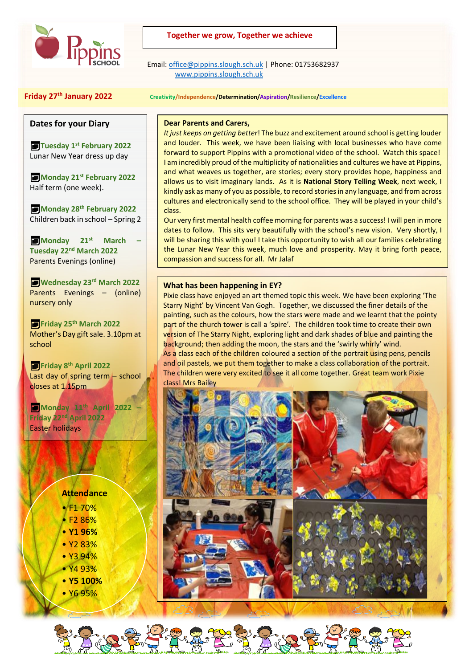

## **Together we grow, Together we achieve**

 Email[: office@pippins.slough.sch.uk](mailto:office@pippins.slough.sch.uk) | Phone: 01753682937 [www.pippins.slough.sch.uk](http://www.pippins.slough.sch.uk/)

### **Friday 27th January 2022 Creativity/Independence/Determination/Aspiration/Resilience/Excellence**

## **Dates for your Diary**

**Tuesday 1st February 2022** Lunar New Year dress up day

**Monday 21st February 2022** Half term (one week).

**Monday 28th February 2022** Children back in school – Spring 2

**Monday 21st March – Tuesday 22nd March 2022** Parents Evenings (online)

**Wednesday 23rd March 2022** Parents Evenings – (online) nursery only

**Friday 25th March 2022** Mother's Day gift sale. 3.10pm at school

**Friday 8th April 2022** Last day of spring term – school closes at 1.15pm

**Monday 11th April 2022 – Friday 22nd April 2022** Easter holidays

# **Attendance**

- F1 70%
- $5286%$
- **Y1 96%**
- Y2 83%
- Y3 94% • Y4 93%
- **Y5 100%**
- Y6 95%

## **Dear Parents and Carers,**

*It just keeps on getting better*! The buzz and excitement around school is getting louder and louder. This week, we have been liaising with local businesses who have come forward to support Pippins with a promotional video of the school. Watch this space! I am incredibly proud of the multiplicity of nationalities and cultures we have at Pippins, and what weaves us together, are stories; every story provides hope, happiness and allows us to visit imaginary lands. As it is **National Story Telling Week**, next week, I kindly ask as many of you as possible, to record stories in any language, and from across cultures and electronically send to the school office. They will be played in your child's class.

Our very first mental health coffee morning for parents was a success! I will pen in more dates to follow. This sits very beautifully with the school's new vision. Very shortly, I will be sharing this with you! I take this opportunity to wish all our families celebrating the Lunar New Year this week, much love and prosperity. May it bring forth peace, compassion and success for all. Mr Jalaf

## **What has been happening in EY?**

Pixie class have enjoyed an art themed topic this week. We have been exploring 'The Starry Night' by Vincent Van Gogh. Together, we discussed the finer details of the painting, such as the colours, how the stars were made and we learnt that the pointy part of the church tower is call a 'spire'. The children took time to create their own version of The Starry Night, exploring light and dark shades of blue and painting the background; then adding the moon, the stars and the 'swirly whirly' wind. As a class each of the children coloured a section of the portrait using pens, pencils and oil pastels, we put them together to make a class collaboration of the portrait. The children were very excited to see it all come together. Great team work Pixie class! Mrs Bailey